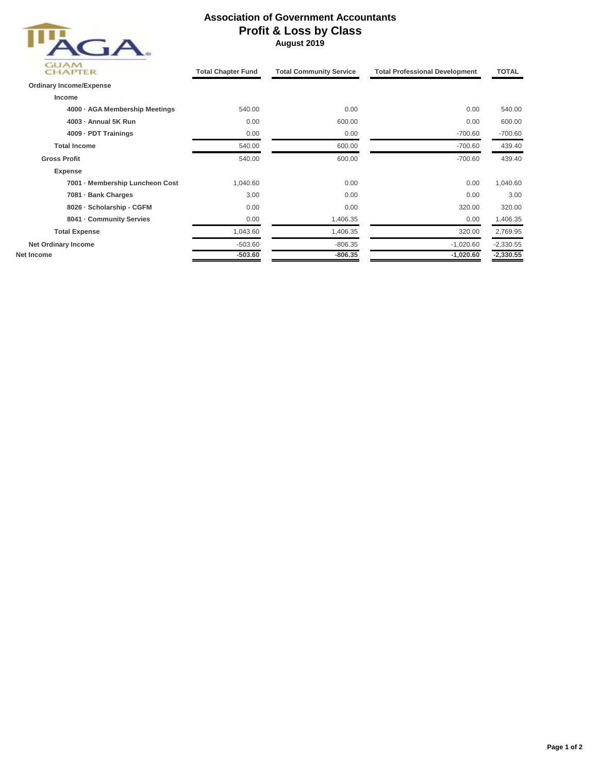

## **Association of Government Accountants Profit & Loss by Class August 2019**

| GUAN<br><b>CHAPTER</b>          | <b>Total Chapter Fund</b> | <b>Total Community Service</b> | <b>Total Professional Development</b> | <b>TOTAL</b> |
|---------------------------------|---------------------------|--------------------------------|---------------------------------------|--------------|
| <b>Ordinary Income/Expense</b>  |                           |                                |                                       |              |
| Income                          |                           |                                |                                       |              |
| 4000 - AGA Membership Meetings  | 540.00                    | 0.00                           | 0.00                                  | 540.00       |
| 4003 - Annual 5K Run            | 0.00                      | 600.00                         | 0.00                                  | 600.00       |
| 4009 - PDT Trainings            | 0.00                      | 0.00                           | $-700.60$                             | $-700.60$    |
| <b>Total Income</b>             | 540.00                    | 600.00                         | $-700.60$                             | 439.40       |
| <b>Gross Profit</b>             | 540.00                    | 600.00                         | $-700.60$                             | 439.40       |
| <b>Expense</b>                  |                           |                                |                                       |              |
| 7001 - Membership Luncheon Cost | 1,040.60                  | 0.00                           | 0.00                                  | 1,040.60     |
| 7081 - Bank Charges             | 3.00                      | 0.00                           | 0.00                                  | 3.00         |
| 8026 - Scholarship - CGFM       | 0.00                      | 0.00                           | 320.00                                | 320.00       |
| 8041 - Community Servies        | 0.00                      | 1,406.35                       | 0.00                                  | 1,406.35     |
| <b>Total Expense</b>            | 1,043.60                  | 1,406.35                       | 320.00                                | 2,769.95     |
| <b>Net Ordinary Income</b>      | $-503.60$                 | $-806.35$                      | $-1,020.60$                           | $-2,330.55$  |
| Net Income                      | $-503.60$                 | $-806.35$                      | $-1,020.60$                           | $-2,330.55$  |